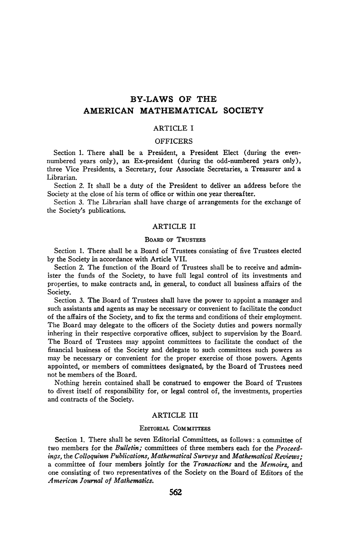# **BY-LAWS OF THE AMERICAN MATHEMATICAL SOCIETY**

## ARTICLE I

### OFFICERS

Section 1. There shall be a President, a President Elect (during the evennumbered years only), an Ex-president (during the odd-numbered years only), three Vice Presidents, a Secretary, four Associate Secretaries, a Treasurer and a Librarian.

Section 2. It shall be a duty of the President to deliver an address before the Society at the close of his term of office or within one year thereafter.

Section 3. The Librarian shall have charge of arrangements for the exchange of the Society's publications.

### ARTICLE II

## BOARD OF TRUSTEES

Section 1. There shall be a Board of Trustees consisting of five Trustees elected by the Society in accordance with Article VII.

Section 2. The function of the Board of Trustees shall be to receive and administer the funds of the Society, to have full legal control of its investments and properties, to make contracts and, in general, to conduct all business affairs of the Society.

Section 3. The Board of Trustees shall have the power to appoint a manager and such assistants and agents as may be necessary or convenient to facilitate the conduct of the affairs of the Society, and to fix the terms and conditions of their employment. The Board may delegate to the officers of the Society duties and powers normally inhering in their respective corporative offices, subject to supervision by the Board. The Board of Trustees may appoint committees to facilitate the conduct of the financial business of the Society and delegate to such committees such powers as may be necessary or convenient for the proper exercise of those powers. Agents appointed, or members of committees designated, by the Board of Trustees need not be members of the Board.

Nothing herein contained shall be construed to empower the Board of Trustees to divest itself of responsibility for, or legal control of, the investments, properties and contracts of the Society.

## ARTICLE III

## EDITORIAL COMMITTEES

Section 1. There shall be seven Editorial Committees, as follows : a committee of two members for the *Bulletin;* committees of three members each for the *Proceedings,* the *Colloquium Publications, Mathematical Surveys* and *Mathematical Reviews;*  a committee of four members jointly for the *Transactions* and the *Memoirs,* and one consisting of two representatives of the Society on the Board of Editors of the *American Journal of Mathematics.*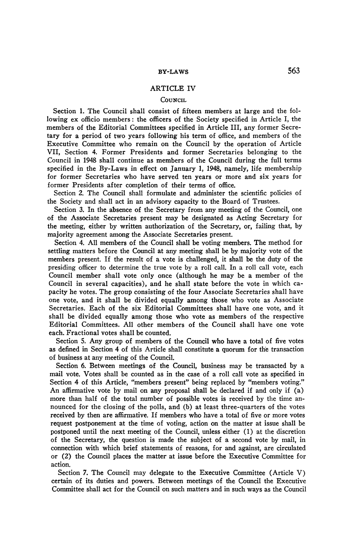### ARTICLE IV

### **COUNCIL**

Section 1. The Council shall consist of fifteen members at large and the following ex officio members : the officers of the Society specified in Article I, the members of the Editorial Committees specified in Article III, any former Secretary for a period of two years following his term of office, and members of the Executive Committee who remain on the Council by the operation of Article VII, Section 4. Former Presidents and former Secretaries belonging to the Council in 1948 shall continue as members of the Council during the full terms specified in the By-Laws in effect on January 1, 1948, namely, life membership for former Secretaries who have served ten years or more and six years for former Presidents after completion of their terms of office.

Section 2. The Council shall formulate and administer the scientific policies of the Society and shall act in an advisory capacity to the Board of Trustees.

Section 3. In the absence of the Secretary from any meeting of the Council, one of the Associate Secretaries present may be designated as Acting Secretary for the meeting, either by written authorization of the Secretary, or, failing that, by majority agreement among the Associate Secretaries present.

Section 4. All members of the Council shall be voting members. The method for settling matters before the Council at any meeting shall be by majority vote of the members present. If the result of a vote is challenged, it shall be the duty of the presiding officer to determine the true vote by a roll call. In a roll call vote, each Council member shall vote only once (although he may be a member of the Council in several capacities), and he shall state before the vote in which capacity he votes. The group consisting of the four Associate Secretaries shall have one vote, and it shall be divided equally among those who vote as Associate Secretaries. Each of the six Editorial Committees shall have one vote, and it shall be divided equally among those who vote as members of the respective Editorial Committees. All other members of the Council shall have one vote each. Fractional votes shall be counted.

Section 5. Any group of members of the Council who have a total of five votes as defined in Section 4 of this Article shall constitute a quorum for the transaction of business at any meeting of the Council.

Section 6. Between meetings of the Council, business may be transacted by a mail vote. Votes shall be counted as in the case of a roll call vote as specified in Section 4 of this Article, "members present" being replaced by "members voting." An affirmative vote by mail on any proposal shall be declared if and only if (a) more than half of the total number of possible votes is received by the time announced for the closing of the polls, and (b) at least three-quarters of the votes received by then are affirmative. If members who have a total of five or more votes request postponement at the time of voting, action on the matter at issue shall be postponed until the next meeting of the Council, unless either (1) at the discretion of the Secretary, the question is made the subject of a second vote by mail, in connection with which brief statements of reasons, for and against, are circulated or (2) the Council places the matter at issue before the Executive Committee for action.

Section 7. The Council may delegate to the Executive Committee (Article V) certain of its duties and powers. Between meetings of the Council the Executive Committee shall act for the Council on such matters and in such ways as the Council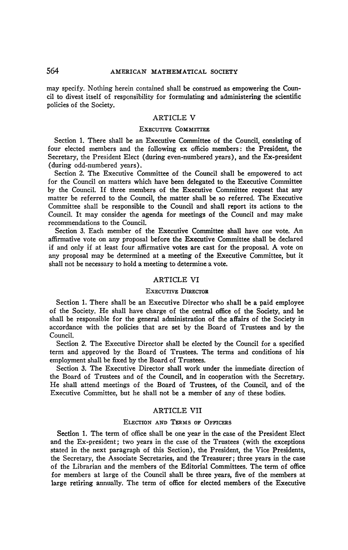may specify. Nothing herein contained shall be construed as empowering the Council to divest itself of responsibility for formulating and administering the scientific policies of the Society.

### ARTICLE V

### EXECUTIVE COMMITTEE

Section 1. There shall be an Executive Committee of the Council, consisting of four elected members and the following ex officio members: the President, the Secretary, the President Elect (during even-numbered years), and the Ex-president (during odd-numbered years).

Section 2. The Executive Committee of the Council shall be empowered to act for the Council on matters which have been delegated to the Executive Committee by the Council. If three members of the Executive Committee request that any matter be referred to the Council, the matter shall be so referred. The Executive Committee shall be responsible to the Council and shall report its actions to the Council. It may consider the agenda for meetings of the Council and may make recommendations to the Council.

Section 3. Each member of the Executive Committee shall have one vote. An affirmative vote on any proposal before the Executive Committee shall be declared if and only if at least four affirmative votes are cast for the proposal. A vote on any proposal may be determined at a meeting of the Executive Committee, but it shall not be necessary to hold a meeting to determine a vote.

### ARTICLE VI

### EXECUTIVE DIRECTOR

Section 1. There shall be an Executive Director who shall be a paid employee of the Society. He shall have charge of the central office of the Society, and he shall be responsible for the general administration of the affairs of the Society in accordance with the policies that are set by the Board of Trustees and by the Council.

Section 2. The Executive Director shall be elected by the Council for a specified term and approved by the Board of Trustees. The terms and conditions of his employment shall be fixed by the Board of Trustees.

Section 3. The Executive Director shall work under the immediate direction of the Board of Trustees and of the Council, and in cooperation with the Secretary. He shall attend meetings of the Board of Trustees, of the Council, and of the Executive Committee, but he shall not be a member of any of these bodies.

## ARTICLE VII

#### ELECTION AND TERMS OF OFFICERS

Section 1. The term of office shall be one year in the case of the President Elect and the Ex-president; two years in the case of the Trustees (with the exceptions stated in the next paragraph of this Section), the President, the Vice Presidents, the Secretary, the Associate Secretaries, and the Treasurer ; three years in the case of the Librarian and the members of the Editorial Committees. The term of office for members at large of the Council shall be three years, five of the members at large retiring annually. The term of office for elected members of the Executive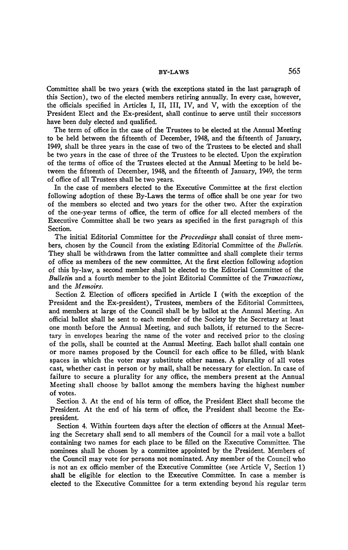## **BY-LAWS** 565

Committee shall be two years (with the exceptions stated in the last paragraph of this Section), two of the elected members retiring annually. In every case, however, the officials specified in Articles I, II, III, IV, and V, with the exception of the President Elect and the Ex-president, shall continue to serve until their successors have been duly elected and qualified.

The term of office in the case of the Trustees to be elected at the Annual Meeting to be held between the fifteenth of December, 1948, and the fifteenth of January, 1949, shall be three years in the case of two of the Trustees to be elected and shall be two years in the case of three of the Trustees to be elected. Upon the expiration of the terms of office of the Trustees elected at the Annual Meeting to be held between the fifteenth of December, 1948, and the fifteenth of January, 1949, the term of office of all Trustees shall be two years.

In the case of members elected to the Executive Committee at the first election following adoption of these By-Laws the terms of office shall be one year for two of the members so elected and two years for the other two. After the expiration of the one-year terms of office, the term of office for all elected members of the Executive Committee shall be two years as specified in the first paragraph of this Section.

The initial Editorial Committee for the *Proceedings* shall consist of three members, chosen by the Council from the existing Editorial Committee of the *Bulletin.*  They shall be withdrawn from the latter committee and shall complete their terms of office as members of the new committee. At the first election following adoption of this by-law, a second member shall be elected to the Editorial Committee of the *Bulletin* and a fourth member to the joint Editorial Committee of the *Transactions,*  and the *Memoirs.* 

Section 2. Election of officers specified in Article I (with the exception of the President and the Ex-president), Trustees, members of the Editorial Committees, and members at large of the Council shall be by ballot at the Annual Meeting. An official ballot shall be sent to each member of the Society by the Secretary at least one month before the Annual Meeting, and such ballots, if returned to the Secretary in envelopes bearing the name of the voter and received prior to the closing of the polls, shall be counted at the Annual Meeting. Each ballot shall contain one or more names proposed by the Council for each office to be filled, with blank spaces in which the voter may substitute other names. A plurality of all votes cast, whether cast in person or by mail, shall be necessary for election. In case of failure to secure a plurality for any office, the members present at the Annual Meeting shall choose by ballot among the members having the highest number of votes.

Section 3. At the end of his term of office, the President Elect shall become the President. At the end of his term of office, the President shall become the Expresident.

Section 4. Within fourteen days after the election of officers at the Annual Meeting the Secretary shall send to all members of the Council for a mail vote a ballot containing two names for each place to be filled on the Executive Committee. The nominees shall be chosen by a committee appointed by the President. Members of the Council may vote for persons not nominated. Any member of the Council who is not an ex officio member of the Executive Committee (see Article V, Section 1) shall be eligible for election to the Executive Committee. In case a member is elected to the Executive Committee for a term extending beyond his regular term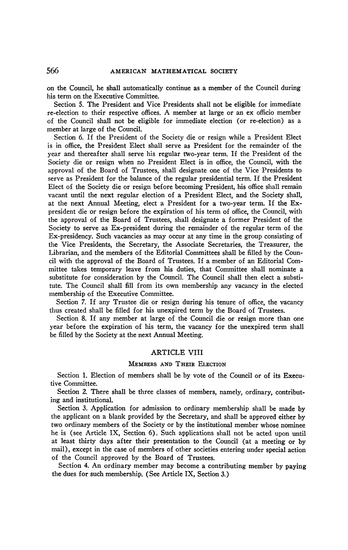on the Council, he shall automatically continue as a member of the Council during his term on the Executive Committee.

Section 5. The President and Vice Presidents shall not be eligible for immediate re-election to their respective offices. A member at large or an ex officio member of the Council shall not be eligible for immediate election (or re-election) as a member at large of the Council.

Section 6. If the President of the Society die or resign while a President Elect is in office, the President Elect shall serve as President for the remainder of the year and thereafter shall serve his regular two-year term. If the President of the Society die or resign when no President Elect is in office, the Council, with the approval of the Board of Trustees, shall designate one of the Vice Presidents to serve as President for the balance of the regular presidential term. If the President Elect of the Society die or resign before becoming President, his office shall remain vacant until the next regular election of a President Elect, and the Society shall, at the next Annual Meeting, elect a President for a two-year term. If the Expresident die or resign before the expiration of his term of office, the Council, with the approval of the Board of Trustees, shall designate a former President of the Society to serve as Ex-president during the remainder of the regular term of the Ex-presidency. Such vacancies as may occur at any time in the group consisting of the Vice Presidents, the Secretary, the Associate Secretaries, the Treasurer, the Librarian, and the members of the Editorial Committees shall be filled by the Council with the approval of the Board of Trustees. If a member of an Editorial Committee takes temporary leave from his duties, that Committee shall nominate a substitute for consideration by the Council. The Council shall then elect a substitute. The Council shall fill from its own membership any vacancy in the elected membership of the Executive Committee.

Section 7. If any Trustee die or resign during his tenure of office, the vacancy thus created shall be filled for his unexpired term by the Board of Trustees.

Section 8. If any member at large of the Council die or resign more than one year before the expiration of his term, the vacancy for the unexpired term shall be filled by the Society at the next Annual Meeting.

## ARTICLE VIII

### MEMBERS AND THEIR ELECTION

Section 1. Election of members shall be by vote of the Council or of its Executive Committee.

Section 2. There shall be three classes of members, namely, ordinary, contributing and institutional.

Section 3. Application for admission to ordinary membership shall be made by the applicant on a blank provided by the Secretary, and shall be approved either by two ordinary members of the Society or by the institutional member whose nominee he is (see Article IX, Section 6). Such applications shall not be acted upon until at least thirty days after their presentation to the Council (at a meeting or by mail), except in the case of members of other societies entering under special action of the Council approved by the Board of Trustees.

Section 4. An ordinary member may become a contributing member by paying the dues for such membership. (See Article IX, Section 3.)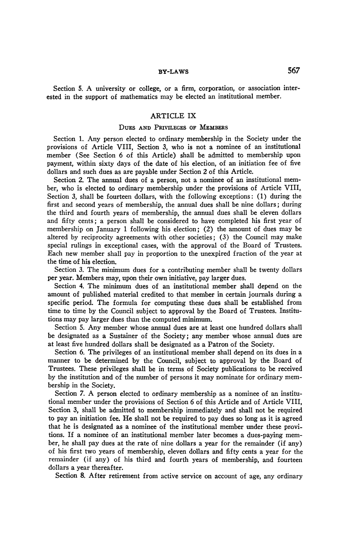## **BY-LAWS** 567

Section 5. A university or college, or a firm, corporation, or association interested in the support of mathematics may be elected an institutional member.

### ARTICLE IX

### DUES AND PRIVILEGES OF MEMBERS

Section 1. Any person elected to ordinary membership in the Society under the provisions of Article VIII, Section 3, who is not a nominee of an institutional member (See Section 6 of this Article) shall be admitted to membership upon payment, within sixty days of the date of his election, of an initiation fee of five dollars and such dues as are payable under Section 2 of this Article.

Section 2. The annual dues of a person, not a nominee of an institutional member, who is elected to ordinary membership under the provisions of Article VIII, Section 3, shall be fourteen dollars, with the following exceptions: (1) during the first and second years of membership, the annual dues shall be nine dollars ; during the third and fourth years of membership, the annual dues shall be eleven dollars and fifty cents; a person shall be considered to have completed his first year of membership on January 1 following his election; (2) the amount of dues may be altered by reciprocity agreements with other societies; (3) the Council may make special rulings in exceptional cases, with the approval of the Board of Trustees. Each new member shall pay in proportion to the unexpired fraction of the year at the time of his election.

Section 3. The minimum dues for a contributing member shall be twenty dollars per year. Members may, upon their own initiative, pay larger dues.

Section 4. The minimum dues of an institutional member shall depend on the amount of published material credited to that member in certain journals during a specific period. The formula for computing these dues shall be established from time to time by the Council subject to approval by the Board of Trustees. Institutions may pay larger dues than the computed minimum.

Section 5. Any member whose annual dues are at least one hundred dollars shall be designated as a Sustainer of the Society; any member whose annual dues are at least five hundred dollars shall be designated as a Patron of the Society.

Section 6. The privileges of an institutional member shall depend on its dues in a manner to be determined by the Council, subject to approval by the Board of Trustees. These privileges shall be in terms of Society publications to be received by the institution and of the number of persons it may nominate for ordinary membership in the Society.

Section *7.* A person elected to ordinary membership as a nominee of an institutional member under the provisions of Section 6 of this Article and of Article VIII, Section 3, shall be admitted to membership immediately and shall not be required to pay an initiation fee. He shall not be required to pay dues so long as it is agreed that he is designated as a nominee of the institutional member under these provitions. If a nominee of an institutional member later becomes a dues-paying member, he shall pay dues at the rate of nine dollars a year for the remainder (if any) of his first two years of membership, eleven dollars and fifty cents a year for the remainder (if any) of his third and fourth years of membership, and fourteen dollars a year thereafter.

Section 8. After retirement from active service on account of age, any ordinary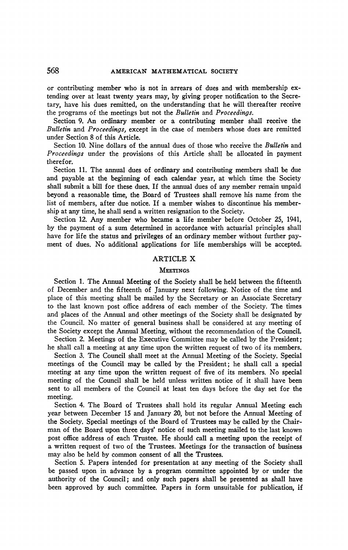or contributing member who is not in arrears of dues and with membership extending over at least twenty years may, by giving proper notification to the Secretary, have his dues remitted, on the understanding that he will thereafter receive the programs of the meetings but not the *Bulletin* and *Proceedings.* 

Section 9. An ordinary member or a contributing member shall receive the *Bulletin* and *Proceedings,* except in the case of members whose dues are remitted under Section 8 of this Article.

Section 10. Nine dollars of the annual dues of those who receive the *Bulletin* and *Proceedings* under the provisions of this Article shall be allocated in payment therefor.

Section 11. The annual dues of ordinary and contributing members shall be due and payable at the beginning of each calendar year, at which time the Society shall submit a bill for these dues. If the annual dues of any member remain unpaid beyond a reasonable time, the Board of Trustees shall remove his name from the list of members, after due notice. If a member wishes to discontinue his membership at any time, he shall send a written resignation to the Society.

Section 12. Any member who became a life member before October 25, 1941, by the payment of a sum determined in accordance with actuarial principles shall have for life the status and privileges of an ordinary member without further payment of dues. No additional applications for life memberships will be accepted.

### ARTICLE X

### **MEETINGS**

Section 1. The Annual Meeting of the Society shall be held between the fifteenth of December and the fifteenth of January next following. Notice of the time and place of this meeting shall be mailed by the Secretary or an Associate Secretary to the last known post office address of each member of the Society. The times and places of the Annual and other meetings of the Society shall be designated by the Council. No matter of general business shall be considered at any meeting of the Society except the Annual Meeting, without the recommendation of the Council.

Section 2. Meetings of the Executive Committee may be called by the President ; he shall call a meeting at any time upon the written request of two of its members.

Section 3. The Council shall meet at the Annual Meeting of the Society. Special meetings of the Council may be called by the President; he shall call a special meeting at any time upon the written request of five of its members. No special meeting of the Council shall be held unless written notice of it shall have been sent to all members of the Council at least ten days before the day set for the meeting.

Section 4. The Board of Trustees shall hold its regular Annual Meeting each year between December 15 and January 20, but not before the Annual Meeting of the Society. Special meetings of the Board of Trustees may be called by the Chairman of the Board upon three days' notice of such meeting mailed to the last known post office address of each Trustee. He should call a meeting upon the receipt of a written request of two of the Trustees. Meetings for the transaction of business may also be held by common consent of all the Trustees.

Section 5. Papers intended for presentation at any meeting of the Society shall be passed upon in advance by a program committee appointed by or under the authority of the Council; and only such papers shall be presented as shall have been approved by such committee. Papers in form unsuitable for publication, if